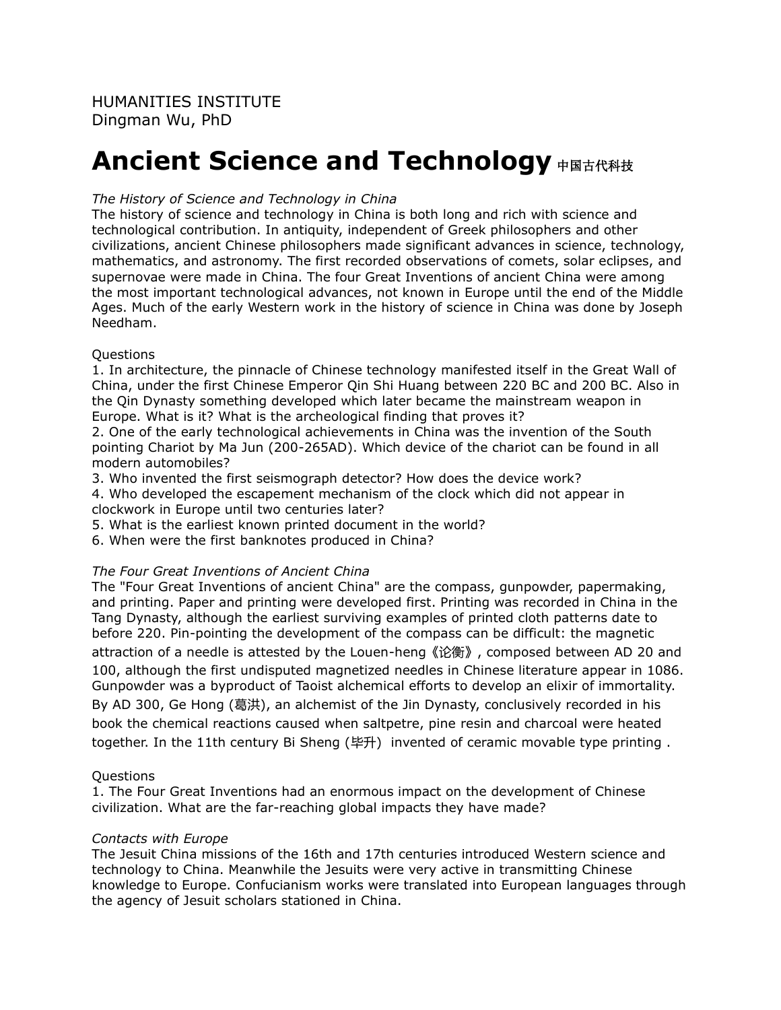# **Ancient Science and Technology** 中国古代科技

## *The History of Science and Technology in China*

The history of science and technology in China is both long and rich with science and technological contribution. In antiquity, independent of Greek philosophers and other civilizations, ancient Chinese philosophers made significant advances in science, technology, mathematics, and astronomy. The first recorded observations of comets, solar eclipses, and supernovae were made in China. The four Great Inventions of ancient China were among the most important technological advances, not known in Europe until the end of the Middle Ages. Much of the early Western work in the history of science in China was done by Joseph Needham.

#### **Ouestions**

1. In architecture, the pinnacle of Chinese technology manifested itself in the Great Wall of China, under the first Chinese Emperor Qin Shi Huang between 220 BC and 200 BC. Also in the Qin Dynasty something developed which later became the mainstream weapon in Europe. What is it? What is the archeological finding that proves it?

2. One of the early technological achievements in China was the invention of the South pointing Chariot by Ma Jun (200-265AD). Which device of the chariot can be found in all modern automobiles?

3. Who invented the first seismograph detector? How does the device work?

4. Who developed the escapement mechanism of the clock which did not appear in clockwork in Europe until two centuries later?

5. What is the earliest known printed document in the world?

6. When were the first banknotes produced in China?

## *The Four Great Inventions of Ancient China*

The "Four Great Inventions of ancient China" are the compass, gunpowder, papermaking, and printing. Paper and printing were developed first. Printing was recorded in China in the Tang Dynasty, although the earliest surviving examples of printed cloth patterns date to before 220. Pin-pointing the development of the compass can be difficult: the magnetic attraction of a needle is attested by the Louen-heng《论衡》, composed between AD 20 and 100, although the first undisputed magnetized needles in Chinese literature appear in 1086.

Gunpowder was a byproduct of Taoist alchemical efforts to develop an elixir of immortality. By AD 300, Ge Hong (葛洪), an alchemist of the Jin Dynasty, conclusively recorded in his book the chemical reactions caused when saltpetre, pine resin and charcoal were heated together. In the 11th century Bi Sheng (毕升) invented of ceramic movable type printing .

#### Questions

1. The Four Great Inventions had an enormous impact on the development of Chinese civilization. What are the far-reaching global impacts they have made?

#### *Contacts with Europe*

The Jesuit China missions of the 16th and 17th centuries introduced Western science and technology to China. Meanwhile the Jesuits were very active in transmitting Chinese knowledge to Europe. Confucianism works were translated into European languages through the agency of Jesuit scholars stationed in China.